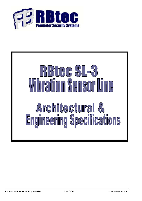

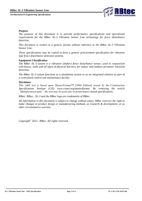

## *Purpose*

*The purpose of this document is to provide performance specifications and operational requirements for the RBtec SL-3 Vibration Sensor Line technology for fence disturbance detection.*

*This document is written in a generic format without reference to the RBtec SL-3 Vibration Sensor Line.*

*These specifications may be copied to form a generic procurement specification for vibration type fence disturbance detection systems.*

### *Equipment Classification*

*The RBtec SL-3 system is a vibration (shaker) fence disturbance sensor, used in conjunction with fences, walls and all types of physical barriers, for indoor and outdoor perimeter intrusion detection.*

*The RBtec SL-3 system functions as a standalone system or as an integrated solution as part of a centralized control and maintenance facility.*

### *Disclaimer*

*This A&E text is based upon MasterFormat™ [2004 Edition] issued by the Construction Specifications Institute (CSI) www.csinet.org/masterformat. By removing the article "Manufactured units", the text may be used also in performance-based specifications.*

*RBtec, RBtec., SL-3 and the RBtec logo are trademarks of RBtec.*

*All information in this document is subject to change without notice. RBtec reserves the right to make changes to product design or manufacturing methods, as research & development, or as other circumstances warrant.*

*Copyright© 2013. RBtec. All rights reserved.*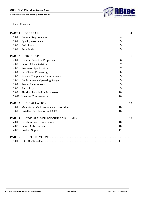

Table of Contents

| PART <sub>1</sub> |  |
|-------------------|--|
| 1.01              |  |
| 1.02              |  |
| 1.03              |  |
| 1.04              |  |
| PART <sub>2</sub> |  |
| 2.01              |  |
| 2.02              |  |
| 2.03              |  |
| 2.04              |  |
| 2.05              |  |
| 2.06              |  |
| 2.07              |  |
| 2.08              |  |
| 2.09              |  |
| 2.010             |  |
| PART <sub>3</sub> |  |
| 3.01              |  |
| 3.02              |  |
| PART <sub>4</sub> |  |
| 4.01              |  |
| 4.02              |  |
| 4.03              |  |
| PART <sub>5</sub> |  |
| 5.01              |  |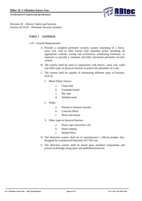

<span id="page-3-1"></span><span id="page-3-0"></span>Division 28 – Electric Safety and Security Section 28.16.43 – Perimeter Security Systems

# **PART 1 GENERAL**

- 1.01 General Requirements
	- A Provide a complete perimeter security system consisting of a fence, razor coil, wall or other barrier type mounted sensor including all appropriate controls, wiring and accessories, monitoring hardware, as required, to provide a complete and fully functional perimeter security system.
	- B The system shall be used in conjunction with fences, razor coil, walls and other types of physical barriers to protect the perimeter of a site.
	- C The system shall be capable of monitoring different types of barriers, such as;
		- 1. Metal Fabric Fences:
			- a. Chain link
			- b. Expanded metal
			- c. Bar type
			- d. Welded mesh
		- 2. Walls:
			- a. Poured or formed concrete
			- b. Concrete block
			- c. Brick and mortar
		- 3. Other types of physical barriers
			- a. Razor tape concertina coil
			- b. Razor netting
			- c. Barbed Wire
	- D The detection system shall be of manufacturer's official product line, designed for commercial/industrial 24/7/365 use.
	- E The detection system shall be based upon standard components and proven technology using open and published protocols.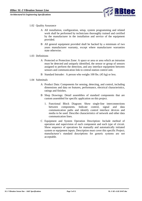

### <span id="page-4-0"></span>1.02 Quality Assurance

- A All installation, configuration, setup, system programming and related work shall be performed by technicians thoroughly trained and certified by the manufacturer in the installation and service of the equipment provided.
- B All general equipment provided shall be backed by a minimum of two years manufacturer warranty, except where manufacturer warranties state otherwise.

### <span id="page-4-1"></span>1.03 Definitions

- A Protected or Protection Zone: A space or area or area which an intrusion must be detected and uniquely identified, the sensor or group of sensors assigned to perform the detection, and any interface equipment between sensors and communication link to central-station control unit.
- B Standard Intruder: A person who weighs 100 lbs. (45 kg) or less.

### <span id="page-4-2"></span>1.04 Submittals

- A Product Data: Components for sensing, detecting, and control, including dimensions and data on features, performance, electrical characteristics, ratings and finishes.
- B Shop Drawings: Detail assemblies of standard components that are custom assembled for specific application on this project.
	- 1. Functional Block Diagram: Show single-line interconnections between components. Indicate control, signal and data communication paths and identify control interface devices and media to be used. Describe characteristics of network and other data communication lines.
- C Equipment and System Operation Description: Include method of operation and supervision of each component and each type of circuit. Show sequence of operations for manually and automatically initiated system or equipment inputs. Description must cover this specific Project; manufacturer's standard descriptions for generic systems are not acceptable.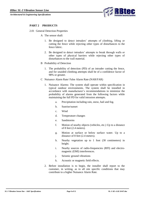

# <span id="page-5-0"></span>**PART 2 PRODUCTS**

- <span id="page-5-1"></span>2.01 General Detection Properties
	- A The sensor shall:
		- 1. Be designed to detect intruders' attempts of climbing, lifting or cutting the fence while rejecting other types of disturbances to the fence fabric.
		- 2. Be designed to detect intruders' attempts to break through walls or other types of physical barriers while rejecting other types of disturbances to the wall material.
	- B Probability of Detection
		- 1. The probability of detection (PD) of an intruder cutting the fence, and for unaided climbing attempts shall be of a confidence factor of 98% or greater.
	- C Nuisance Alarm Rate/ False Alarm Rate (NAR/FAR)
		- 1. Nuisance Alarms: The system shall operate within specification in typical outdoor environments. The system shall be installed in accordance with manufacturer's recommendations to minimize the probability of alarms generated from the following factors while maintaining the full PD for valid intrusion attempts.
			- a. Precipitation including rain, snow, hail and fog.
			- b. Sunrise/sunset
			- c. Wind
			- d. Temperature changes
			- e. Sandstorms
			- f. Motion of nearby objects (vehicles, etc.) Up to a distance of 8 feet (2.4 meters).
			- g. Motion at surface or below surface water. Up to a distance of 8 feet (2.4 meters).
			- h. Nearby vegetation up to 1 foot (30 centimeters) in height.
			- i. Nearby sources of radio-frequencies (RFI) and electromagnetic (EMI) interferences.
			- j. Seismic ground vibrations
			- k. Acoustic or magnetic field effects.
		- 2. Before installation is to begin, the installer shall report to the customer, in writing, as to all site specific conditions that may contribute to a higher Nuisance Alarm Rate.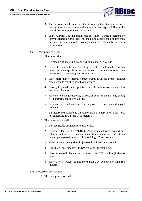

- 3. The customer shall decide whether to remedy the situation or accept the nuisance alarm sources without any further responsibility on the part of the installer or the manufacturer.
- 4. False Alarms: The maximum rate for False Alarms generated by internal electronic processes (not including cables) shall be less than one per zone per 24 months, averaged over the total number of zones in the system.

#### <span id="page-6-0"></span>2.02 Sensor Characteristics

- A The sensor shall:
	- 1. Be capable of operating in any position along X-Y-Z axis.
	- 2. Be sealed via ultrasonic welding or other such method which permanently encapsulates the internal sensor components to be come impervious to tampering, dust or moisture.
	- 3. Have more than 8 internal contact points to insure proper attitude compliance to stabilize sensitivity settings.
	- 4. Have gold plated contact points to provide anti-corrosion element to sensor architecture.
	- 5. Have self-cleaning capability of contact points to insure long lasting field performance and reliability.
	- 6. Be housed in a material which is UV protected, corrosion and impact resistant.
	- 7. Be factory pre-assembled on sensor cable at intervals of at least but not exceeding 10.34 feet (3.15 meters).
- B The sensor cable shall:
	- 1. Be specifically designed for outdoor use.
	- 2. Contain 6 PVC or POLYURETHANE insulated wires around one filler twisted to form a concentric construction and shielded with an overall polyester-aluminum foil, providing 100% coverage.
	- 3. Have an outer casing, **double-jacketed** with PVC compounds.
	- 4. Have black outer jacket with UV resistant FR compound.
	- 5. Have an overall diameter of not more than 0.291 inches (7.40mm) nom.
	- 6. Have a total weight of not more than 304 pounds per mile (86 kg/km).
- <span id="page-6-1"></span>2.03 Processor Specification
	- A The field processor shall: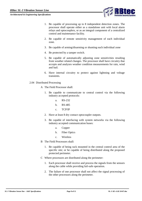

- 1. Be capable of processing up to 8 independent detection zones. The processor shall operate either as a standalone unit with local alarm relays and optocouplers, or as an integral component of a centralized control and maintenance facility.
- 2. Be capable of remote sensitivity management of each individual zone.
- 3. Be capable of arming/disarming or shunting each individual zone
- 4. Be protected by a tamper switch.
- 5. Be capable of automatically adjusting zone sensitivities resulting from weather related changes. The processor shall have circuitry that accepts and analyzes weather condition measurements for rain, wind and hail.
- 6. Have internal circuitry to protect against lightning and voltage transients.
- <span id="page-7-0"></span>2.04 Distributed Processing
	- A The Field Processor shall:
		- 1. Be capable to communicate to central control via the following industry accepted protocols:
			- a. RS-232
			- b. RS-485
			- c. TCP/IP
		- 2. Have at least 8 dry contact optocoupler outputs.
		- 3. Be capable of interfacing with system networks via the following industry accepted communication buses:
			- a. Copper
			- b. Fiber Optics
			- c. Wireless
	- B The Field Processors shall:
		- 1. Be capable of being rack mounted in the central control area of the specific site; or be capable of being distributed along the proposed protected perimeter.
	- C Where processors are distributed along the perimeter:
		- 1. Each processor shall receive and process the signals from the sensors along the cable while providing fail-safe operation.
		- 2. The failure of one processor shall not affect the signal processing of the other processors along the perimeter.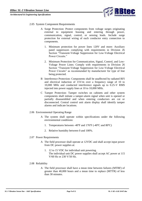

- <span id="page-8-0"></span>2.05 System Component Requirements
	- A Surge Protection: Protect components from voltage surges originating external to equipment housing and entering through power, communication, signal, control, or sensing leads. Include surge protection for external wiring of each conductor entry connection to components.
		- 1. Minimum protection for power lines 120V and more: Auxiliary panel suppressors complying with requirements in Division 26 Section "Transient-Voltage Suppression for Low-Voltage Electrical Power Circuits."
		- 2. Minimum Protection for Communication, Signal, Control, and Low-Voltage Power Lines: Comply with requirements in Division 26 Section "Transient-Voltage Suppression for Low-Voltage Electrical Power Circuits" as recommended by manufacturer for type of line being protected.
	- B Interference Protection: Components shall be unaffected by radiated RFI and electrical induction of 15V/m over a frequency range of 10 to 10,000 MHz and conducted interference signals up to 0.25-V RMS injected into power supply lines at 10 to 10,000 MHz.
	- C Tamper Protection: Tamper switches on cabinets and other system components shall initiate a tamper-alarm signal when unit is opened or partially disassembled and when entering conductors are cut or disconnected. Central control unit alarm display shall identify tamper alarms and indicate locations.
- <span id="page-8-1"></span>2.06 Environmental Operating Range
	- A The system shall operate within specifications under the following environmental conditions:
		- 1. Temperatures between -40ºF and 176ºF (-40ºC and 80ºC)
		- 2. Relative humidity between 0 and 100%.
- <span id="page-8-2"></span>2.07 Power Requirements
	- A The field processor shall operate at 12VDC and shall accept input power from DC power supplies at:
		- 1. 12 to 15 VDC for individual unit powering. The individual unit DC power supplies shall accept AC power at 115 V/60 Hz or 230 V/50 Hz.
- <span id="page-8-3"></span>2.08 Reliability
	- A The field processor shall have a mean time between failures (MTBF) of greater than 40,000 hours and a mean time to replace (MTTR) of less than 30 minutes.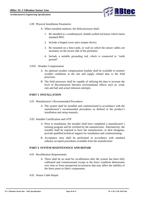

- <span id="page-9-0"></span>2.09 Physical Installation Parameters
	- A When installed outdoors, the field processor shall:
		- 1. Be installed in a weatherproof, double-walled enclosure which meets standard IP65.
		- 2. Include a hinged cover and a tamper device.
		- 3. Be mounted on a fence pole, or wall on which the sensor cables are mounted, on the secure side of the perimeter.
		- 4. Include a suitable grounding rod, which is connected to "earth ground".
- <span id="page-9-1"></span>2.010 Weather Compensation
	- A An optional weather compensation module shall be available to monitor weather conditions at the site and supply related data to the field processor.
	- B The field processor shall be capable of utilizing the data to increase the level of discrimination between environmental effects such as; wind, rain and hail and actual intrusion attempts.

### <span id="page-9-2"></span>**PART 3 INSTALLATION**

- <span id="page-9-3"></span>3.01 Manufacturer's Recommended Procedures
	- A The system shall be installed and commissioned in accordance with the manufacturer's recommended procedures as defined in the product's installation and setup manuals.
- <span id="page-9-4"></span>3.02 Installer Certification and ATP
	- A Prior to installation, the installer shall have completed a manufacturer's training program and be certified by the manufacturer. Alternatively, the installer shall be required to have the manufacturer, or their designate, provide qualified technical support for installation and commissioning.
	- B Acceptance tests shall be performed in accordance with standard industry accepted procedures available from the manufacturer.

### <span id="page-9-6"></span><span id="page-9-5"></span>**PART 4 SYSTEM MAINTENANCE AND REPAIR**

- 4.01 Recalibration Requirements
	- A There shall be no need for recalibration after the system has been fully calibrated and commissioned except as the fence condition deteriorates over time or from unexpected occurrences that may affect the stability of the fence posts or fabric components.
- <span id="page-9-7"></span>4.02 Sensor Cable Repair